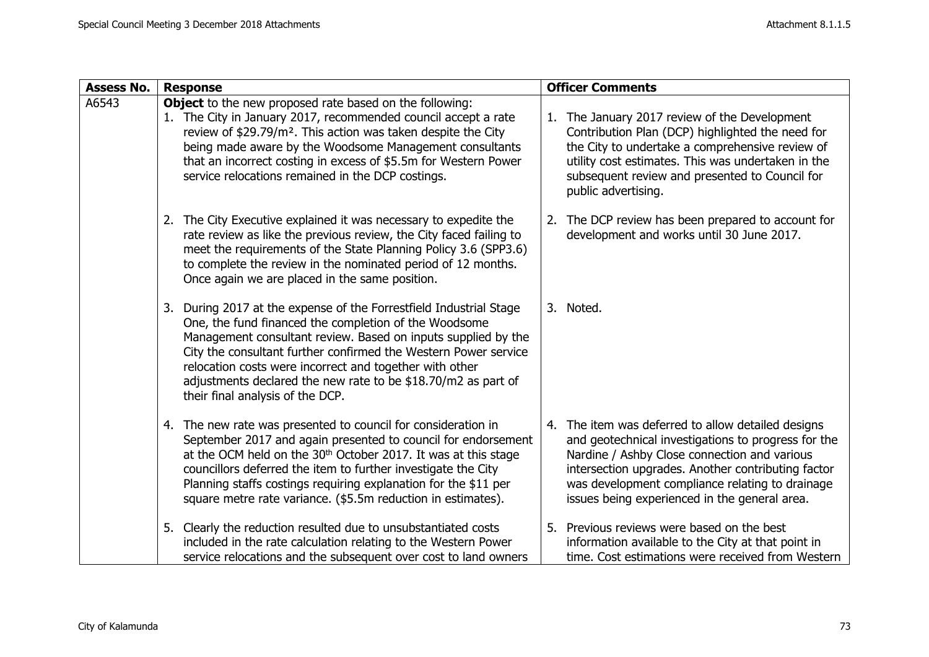| <b>Assess No.</b> | <b>Response</b>                                                                                                                                                                                                                                                                                                                                                                                                                 | <b>Officer Comments</b>                                                                                                                                                                                                                                                                                                |  |
|-------------------|---------------------------------------------------------------------------------------------------------------------------------------------------------------------------------------------------------------------------------------------------------------------------------------------------------------------------------------------------------------------------------------------------------------------------------|------------------------------------------------------------------------------------------------------------------------------------------------------------------------------------------------------------------------------------------------------------------------------------------------------------------------|--|
| A6543             | <b>Object</b> to the new proposed rate based on the following:<br>1. The City in January 2017, recommended council accept a rate<br>review of \$29.79/m <sup>2</sup> . This action was taken despite the City<br>being made aware by the Woodsome Management consultants<br>that an incorrect costing in excess of \$5.5m for Western Power<br>service relocations remained in the DCP costings.                                | 1. The January 2017 review of the Development<br>Contribution Plan (DCP) highlighted the need for<br>the City to undertake a comprehensive review of<br>utility cost estimates. This was undertaken in the<br>subsequent review and presented to Council for<br>public advertising.                                    |  |
|                   | 2. The City Executive explained it was necessary to expedite the<br>rate review as like the previous review, the City faced failing to<br>meet the requirements of the State Planning Policy 3.6 (SPP3.6)<br>to complete the review in the nominated period of 12 months.<br>Once again we are placed in the same position.                                                                                                     | 2. The DCP review has been prepared to account for<br>development and works until 30 June 2017.                                                                                                                                                                                                                        |  |
|                   | 3. During 2017 at the expense of the Forrestfield Industrial Stage<br>One, the fund financed the completion of the Woodsome<br>Management consultant review. Based on inputs supplied by the<br>City the consultant further confirmed the Western Power service<br>relocation costs were incorrect and together with other<br>adjustments declared the new rate to be \$18.70/m2 as part of<br>their final analysis of the DCP. | 3. Noted.                                                                                                                                                                                                                                                                                                              |  |
|                   | 4. The new rate was presented to council for consideration in<br>September 2017 and again presented to council for endorsement<br>at the OCM held on the 30 <sup>th</sup> October 2017. It was at this stage<br>councillors deferred the item to further investigate the City<br>Planning staffs costings requiring explanation for the \$11 per<br>square metre rate variance. (\$5.5m reduction in estimates).                | The item was deferred to allow detailed designs<br>4.<br>and geotechnical investigations to progress for the<br>Nardine / Ashby Close connection and various<br>intersection upgrades. Another contributing factor<br>was development compliance relating to drainage<br>issues being experienced in the general area. |  |
|                   | 5. Clearly the reduction resulted due to unsubstantiated costs<br>included in the rate calculation relating to the Western Power<br>service relocations and the subsequent over cost to land owners                                                                                                                                                                                                                             | 5. Previous reviews were based on the best<br>information available to the City at that point in<br>time. Cost estimations were received from Western                                                                                                                                                                  |  |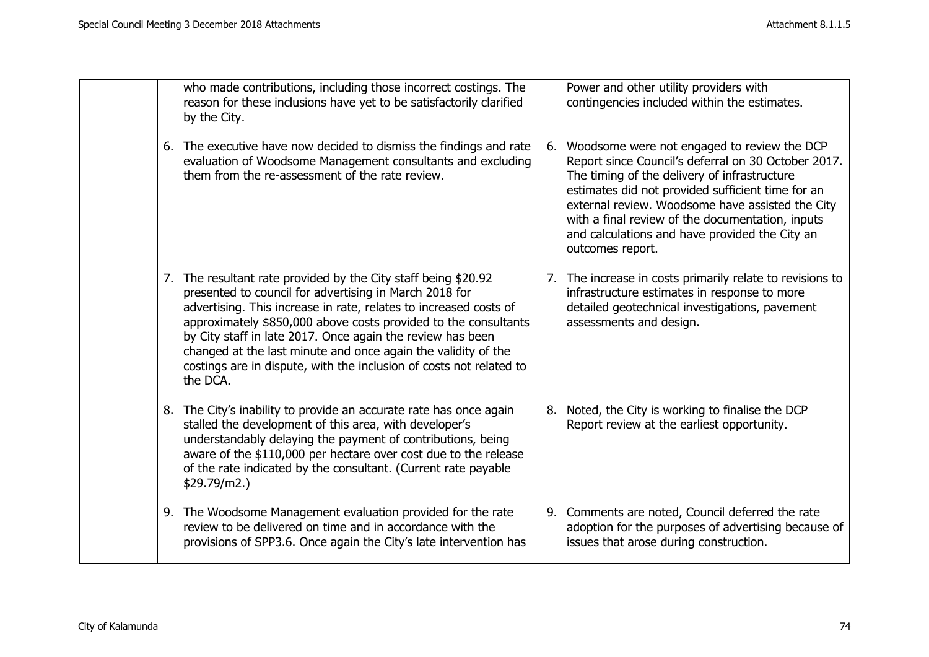| who made contributions, including those incorrect costings. The<br>reason for these inclusions have yet to be satisfactorily clarified<br>by the City.                                                                                                                                                                                                                                                                                                                             | Power and other utility providers with<br>contingencies included within the estimates.                                                                                                                                                                                                                                                                                                   |
|------------------------------------------------------------------------------------------------------------------------------------------------------------------------------------------------------------------------------------------------------------------------------------------------------------------------------------------------------------------------------------------------------------------------------------------------------------------------------------|------------------------------------------------------------------------------------------------------------------------------------------------------------------------------------------------------------------------------------------------------------------------------------------------------------------------------------------------------------------------------------------|
| 6. The executive have now decided to dismiss the findings and rate<br>evaluation of Woodsome Management consultants and excluding<br>them from the re-assessment of the rate review.                                                                                                                                                                                                                                                                                               | 6. Woodsome were not engaged to review the DCP<br>Report since Council's deferral on 30 October 2017.<br>The timing of the delivery of infrastructure<br>estimates did not provided sufficient time for an<br>external review. Woodsome have assisted the City<br>with a final review of the documentation, inputs<br>and calculations and have provided the City an<br>outcomes report. |
| 7. The resultant rate provided by the City staff being \$20.92<br>presented to council for advertising in March 2018 for<br>advertising. This increase in rate, relates to increased costs of<br>approximately \$850,000 above costs provided to the consultants<br>by City staff in late 2017. Once again the review has been<br>changed at the last minute and once again the validity of the<br>costings are in dispute, with the inclusion of costs not related to<br>the DCA. | 7. The increase in costs primarily relate to revisions to<br>infrastructure estimates in response to more<br>detailed geotechnical investigations, pavement<br>assessments and design.                                                                                                                                                                                                   |
| 8. The City's inability to provide an accurate rate has once again<br>stalled the development of this area, with developer's<br>understandably delaying the payment of contributions, being<br>aware of the \$110,000 per hectare over cost due to the release<br>of the rate indicated by the consultant. (Current rate payable<br>\$29.79/m2.                                                                                                                                    | 8. Noted, the City is working to finalise the DCP<br>Report review at the earliest opportunity.                                                                                                                                                                                                                                                                                          |
| 9. The Woodsome Management evaluation provided for the rate<br>review to be delivered on time and in accordance with the<br>provisions of SPP3.6. Once again the City's late intervention has                                                                                                                                                                                                                                                                                      | 9. Comments are noted, Council deferred the rate<br>adoption for the purposes of advertising because of<br>issues that arose during construction.                                                                                                                                                                                                                                        |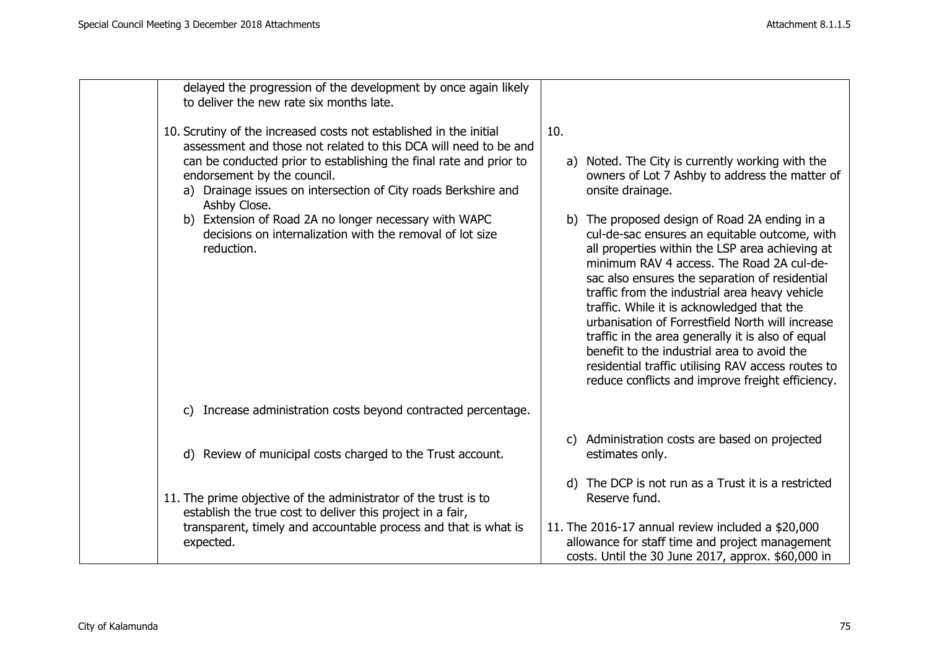| delayed the progression of the development by once again likely                                                                                                                                                                                                                                                                                                                                                                                                   |                                                                                                                                                                                                                                                                                                                                                                                                                                                                                                                                                                                                                                                                                                                                                     |
|-------------------------------------------------------------------------------------------------------------------------------------------------------------------------------------------------------------------------------------------------------------------------------------------------------------------------------------------------------------------------------------------------------------------------------------------------------------------|-----------------------------------------------------------------------------------------------------------------------------------------------------------------------------------------------------------------------------------------------------------------------------------------------------------------------------------------------------------------------------------------------------------------------------------------------------------------------------------------------------------------------------------------------------------------------------------------------------------------------------------------------------------------------------------------------------------------------------------------------------|
| to deliver the new rate six months late.                                                                                                                                                                                                                                                                                                                                                                                                                          |                                                                                                                                                                                                                                                                                                                                                                                                                                                                                                                                                                                                                                                                                                                                                     |
| 10. Scrutiny of the increased costs not established in the initial<br>assessment and those not related to this DCA will need to be and<br>can be conducted prior to establishing the final rate and prior to<br>endorsement by the council.<br>a) Drainage issues on intersection of City roads Berkshire and<br>Ashby Close.<br>b) Extension of Road 2A no longer necessary with WAPC<br>decisions on internalization with the removal of lot size<br>reduction. | 10.<br>a) Noted. The City is currently working with the<br>owners of Lot 7 Ashby to address the matter of<br>onsite drainage.<br>b) The proposed design of Road 2A ending in a<br>cul-de-sac ensures an equitable outcome, with<br>all properties within the LSP area achieving at<br>minimum RAV 4 access. The Road 2A cul-de-<br>sac also ensures the separation of residential<br>traffic from the industrial area heavy vehicle<br>traffic. While it is acknowledged that the<br>urbanisation of Forrestfield North will increase<br>traffic in the area generally it is also of equal<br>benefit to the industrial area to avoid the<br>residential traffic utilising RAV access routes to<br>reduce conflicts and improve freight efficiency. |
| Increase administration costs beyond contracted percentage.<br>C)                                                                                                                                                                                                                                                                                                                                                                                                 |                                                                                                                                                                                                                                                                                                                                                                                                                                                                                                                                                                                                                                                                                                                                                     |
| d) Review of municipal costs charged to the Trust account.                                                                                                                                                                                                                                                                                                                                                                                                        | c) Administration costs are based on projected<br>estimates only.                                                                                                                                                                                                                                                                                                                                                                                                                                                                                                                                                                                                                                                                                   |
| 11. The prime objective of the administrator of the trust is to<br>establish the true cost to deliver this project in a fair,<br>transparent, timely and accountable process and that is what is                                                                                                                                                                                                                                                                  | d) The DCP is not run as a Trust it is a restricted<br>Reserve fund.<br>11. The 2016-17 annual review included a $$20,000$                                                                                                                                                                                                                                                                                                                                                                                                                                                                                                                                                                                                                          |
| expected.                                                                                                                                                                                                                                                                                                                                                                                                                                                         | allowance for staff time and project management<br>costs. Until the 30 June 2017, approx. \$60,000 in                                                                                                                                                                                                                                                                                                                                                                                                                                                                                                                                                                                                                                               |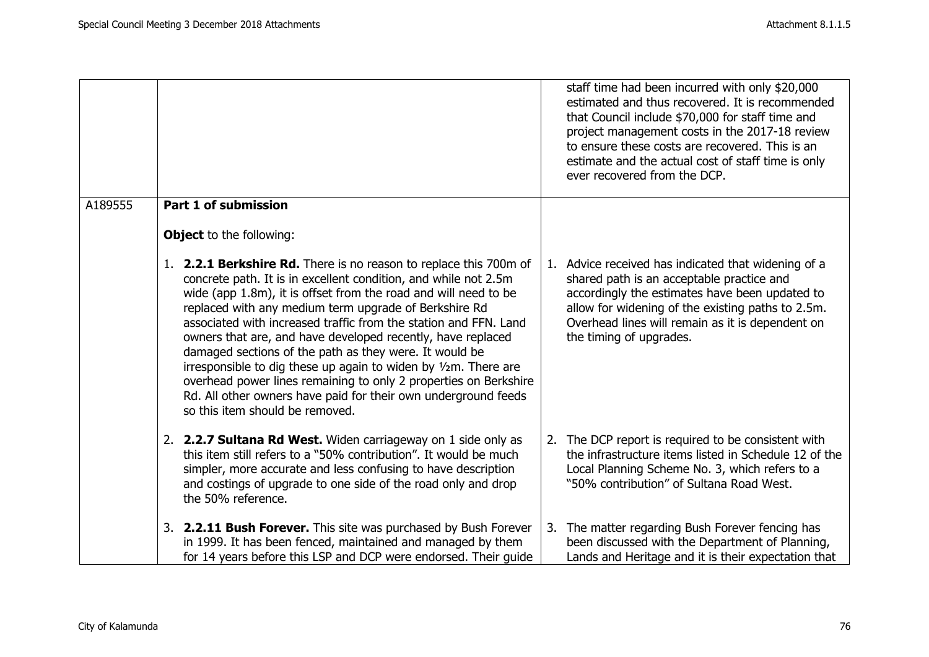|         |                                                                                                                                                                                                                                                                                                                                                                                                                                                                                                                                                                                                                                                                                                           | staff time had been incurred with only \$20,000<br>estimated and thus recovered. It is recommended<br>that Council include \$70,000 for staff time and<br>project management costs in the 2017-18 review<br>to ensure these costs are recovered. This is an<br>estimate and the actual cost of staff time is only<br>ever recovered from the DCP. |  |
|---------|-----------------------------------------------------------------------------------------------------------------------------------------------------------------------------------------------------------------------------------------------------------------------------------------------------------------------------------------------------------------------------------------------------------------------------------------------------------------------------------------------------------------------------------------------------------------------------------------------------------------------------------------------------------------------------------------------------------|---------------------------------------------------------------------------------------------------------------------------------------------------------------------------------------------------------------------------------------------------------------------------------------------------------------------------------------------------|--|
| A189555 | <b>Part 1 of submission</b>                                                                                                                                                                                                                                                                                                                                                                                                                                                                                                                                                                                                                                                                               |                                                                                                                                                                                                                                                                                                                                                   |  |
|         | <b>Object</b> to the following:                                                                                                                                                                                                                                                                                                                                                                                                                                                                                                                                                                                                                                                                           |                                                                                                                                                                                                                                                                                                                                                   |  |
|         | 1. 2.2.1 Berkshire Rd. There is no reason to replace this 700m of<br>concrete path. It is in excellent condition, and while not 2.5m<br>wide (app 1.8m), it is offset from the road and will need to be<br>replaced with any medium term upgrade of Berkshire Rd<br>associated with increased traffic from the station and FFN. Land<br>owners that are, and have developed recently, have replaced<br>damaged sections of the path as they were. It would be<br>irresponsible to dig these up again to widen by 1/2m. There are<br>overhead power lines remaining to only 2 properties on Berkshire<br>Rd. All other owners have paid for their own underground feeds<br>so this item should be removed. | 1. Advice received has indicated that widening of a<br>shared path is an acceptable practice and<br>accordingly the estimates have been updated to<br>allow for widening of the existing paths to 2.5m.<br>Overhead lines will remain as it is dependent on<br>the timing of upgrades.                                                            |  |
|         | 2. 2.2.7 Sultana Rd West. Widen carriageway on 1 side only as<br>this item still refers to a "50% contribution". It would be much<br>simpler, more accurate and less confusing to have description<br>and costings of upgrade to one side of the road only and drop<br>the 50% reference.                                                                                                                                                                                                                                                                                                                                                                                                                 | 2. The DCP report is required to be consistent with<br>the infrastructure items listed in Schedule 12 of the<br>Local Planning Scheme No. 3, which refers to a<br>"50% contribution" of Sultana Road West.                                                                                                                                        |  |
|         | 3. 2.2.11 Bush Forever. This site was purchased by Bush Forever<br>in 1999. It has been fenced, maintained and managed by them<br>for 14 years before this LSP and DCP were endorsed. Their guide                                                                                                                                                                                                                                                                                                                                                                                                                                                                                                         | 3. The matter regarding Bush Forever fencing has<br>been discussed with the Department of Planning,<br>Lands and Heritage and it is their expectation that                                                                                                                                                                                        |  |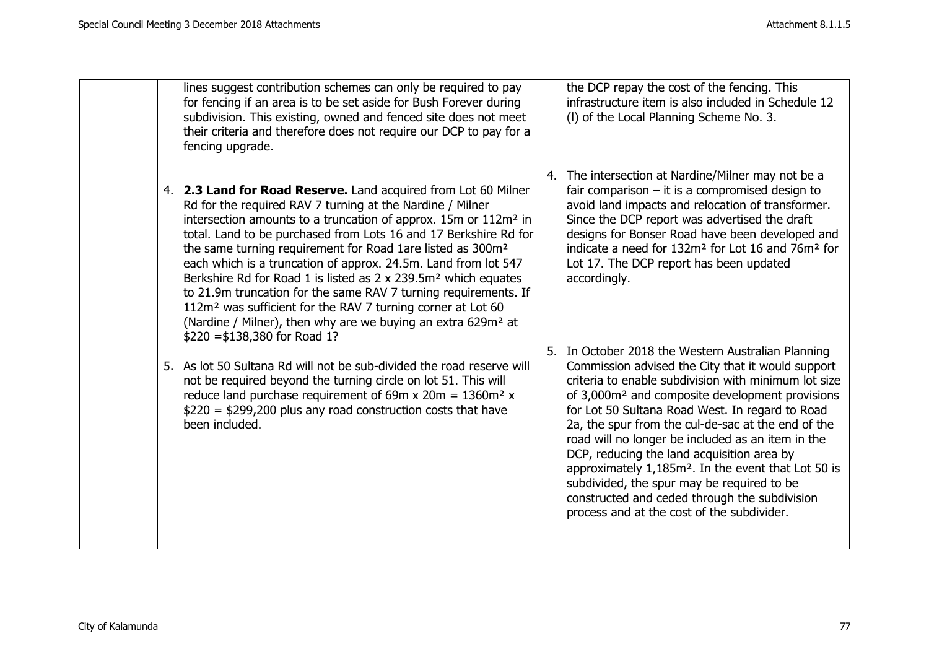| lines suggest contribution schemes can only be required to pay<br>for fencing if an area is to be set aside for Bush Forever during<br>subdivision. This existing, owned and fenced site does not meet<br>their criteria and therefore does not require our DCP to pay for a<br>fencing upgrade.                                                                                                                                                                                                                                                                                                                                                                                                                                                                    | the DCP repay the cost of the fencing. This<br>infrastructure item is also included in Schedule 12<br>(I) of the Local Planning Scheme No. 3.                                                                                                                                                                                                                                                                                                                                                                                                                                                                                                              |
|---------------------------------------------------------------------------------------------------------------------------------------------------------------------------------------------------------------------------------------------------------------------------------------------------------------------------------------------------------------------------------------------------------------------------------------------------------------------------------------------------------------------------------------------------------------------------------------------------------------------------------------------------------------------------------------------------------------------------------------------------------------------|------------------------------------------------------------------------------------------------------------------------------------------------------------------------------------------------------------------------------------------------------------------------------------------------------------------------------------------------------------------------------------------------------------------------------------------------------------------------------------------------------------------------------------------------------------------------------------------------------------------------------------------------------------|
| 4. 2.3 Land for Road Reserve. Land acquired from Lot 60 Milner<br>Rd for the required RAV 7 turning at the Nardine / Milner<br>intersection amounts to a truncation of approx. 15m or 112m <sup>2</sup> in<br>total. Land to be purchased from Lots 16 and 17 Berkshire Rd for<br>the same turning requirement for Road 1are listed as 300m <sup>2</sup><br>each which is a truncation of approx. 24.5m. Land from lot 547<br>Berkshire Rd for Road 1 is listed as 2 x 239.5m <sup>2</sup> which equates<br>to 21.9m truncation for the same RAV 7 turning requirements. If<br>112m <sup>2</sup> was sufficient for the RAV 7 turning corner at Lot 60<br>(Nardine / Milner), then why are we buying an extra 629m <sup>2</sup> at<br>$$220 = $138,380$ for Road 1? | 4. The intersection at Nardine/Milner may not be a<br>fair comparison $-$ it is a compromised design to<br>avoid land impacts and relocation of transformer.<br>Since the DCP report was advertised the draft<br>designs for Bonser Road have been developed and<br>indicate a need for 132m <sup>2</sup> for Lot 16 and 76m <sup>2</sup> for<br>Lot 17. The DCP report has been updated<br>accordingly.                                                                                                                                                                                                                                                   |
| 5. As lot 50 Sultana Rd will not be sub-divided the road reserve will<br>not be required beyond the turning circle on lot 51. This will<br>reduce land purchase requirement of 69m x 20m = $1360m^2$ x<br>$$220 = $299,200$ plus any road construction costs that have<br>been included.                                                                                                                                                                                                                                                                                                                                                                                                                                                                            | 5. In October 2018 the Western Australian Planning<br>Commission advised the City that it would support<br>criteria to enable subdivision with minimum lot size<br>of 3,000m <sup>2</sup> and composite development provisions<br>for Lot 50 Sultana Road West. In regard to Road<br>2a, the spur from the cul-de-sac at the end of the<br>road will no longer be included as an item in the<br>DCP, reducing the land acquisition area by<br>approximately 1,185m <sup>2</sup> . In the event that Lot 50 is<br>subdivided, the spur may be required to be<br>constructed and ceded through the subdivision<br>process and at the cost of the subdivider. |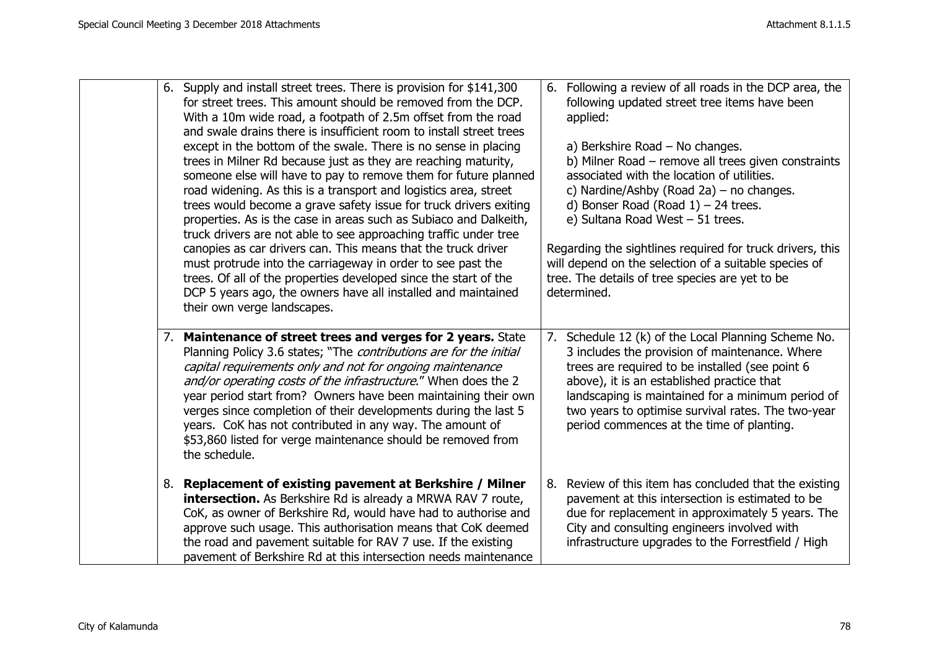|    | 6. Supply and install street trees. There is provision for \$141,300<br>for street trees. This amount should be removed from the DCP.<br>With a 10m wide road, a footpath of 2.5m offset from the road<br>and swale drains there is insufficient room to install street trees<br>except in the bottom of the swale. There is no sense in placing<br>trees in Milner Rd because just as they are reaching maturity,<br>someone else will have to pay to remove them for future planned<br>road widening. As this is a transport and logistics area, street<br>trees would become a grave safety issue for truck drivers exiting<br>properties. As is the case in areas such as Subiaco and Dalkeith,<br>truck drivers are not able to see approaching traffic under tree<br>canopies as car drivers can. This means that the truck driver<br>must protrude into the carriageway in order to see past the<br>trees. Of all of the properties developed since the start of the<br>DCP 5 years ago, the owners have all installed and maintained<br>their own verge landscapes. | 6. Following a review of all roads in the DCP area, the<br>following updated street tree items have been<br>applied:<br>a) Berkshire Road $-$ No changes.<br>b) Milner Road - remove all trees given constraints<br>associated with the location of utilities.<br>c) Nardine/Ashby (Road 2a) – no changes.<br>d) Bonser Road (Road $1$ ) – 24 trees.<br>e) Sultana Road West - 51 trees.<br>Regarding the sightlines required for truck drivers, this<br>will depend on the selection of a suitable species of<br>tree. The details of tree species are yet to be<br>determined. |
|----|-----------------------------------------------------------------------------------------------------------------------------------------------------------------------------------------------------------------------------------------------------------------------------------------------------------------------------------------------------------------------------------------------------------------------------------------------------------------------------------------------------------------------------------------------------------------------------------------------------------------------------------------------------------------------------------------------------------------------------------------------------------------------------------------------------------------------------------------------------------------------------------------------------------------------------------------------------------------------------------------------------------------------------------------------------------------------------|----------------------------------------------------------------------------------------------------------------------------------------------------------------------------------------------------------------------------------------------------------------------------------------------------------------------------------------------------------------------------------------------------------------------------------------------------------------------------------------------------------------------------------------------------------------------------------|
|    | 7. Maintenance of street trees and verges for 2 years. State<br>Planning Policy 3.6 states; "The contributions are for the initial<br>capital requirements only and not for ongoing maintenance<br>and/or operating costs of the infrastructure." When does the 2<br>year period start from? Owners have been maintaining their own<br>verges since completion of their developments during the last 5<br>years. CoK has not contributed in any way. The amount of<br>\$53,860 listed for verge maintenance should be removed from<br>the schedule.                                                                                                                                                                                                                                                                                                                                                                                                                                                                                                                         | 7. Schedule 12 (k) of the Local Planning Scheme No.<br>3 includes the provision of maintenance. Where<br>trees are required to be installed (see point 6<br>above), it is an established practice that<br>landscaping is maintained for a minimum period of<br>two years to optimise survival rates. The two-year<br>period commences at the time of planting.                                                                                                                                                                                                                   |
| 8. | Replacement of existing pavement at Berkshire / Milner<br>intersection. As Berkshire Rd is already a MRWA RAV 7 route,<br>CoK, as owner of Berkshire Rd, would have had to authorise and<br>approve such usage. This authorisation means that CoK deemed<br>the road and pavement suitable for RAV 7 use. If the existing<br>pavement of Berkshire Rd at this intersection needs maintenance                                                                                                                                                                                                                                                                                                                                                                                                                                                                                                                                                                                                                                                                                | 8. Review of this item has concluded that the existing<br>pavement at this intersection is estimated to be<br>due for replacement in approximately 5 years. The<br>City and consulting engineers involved with<br>infrastructure upgrades to the Forrestfield / High                                                                                                                                                                                                                                                                                                             |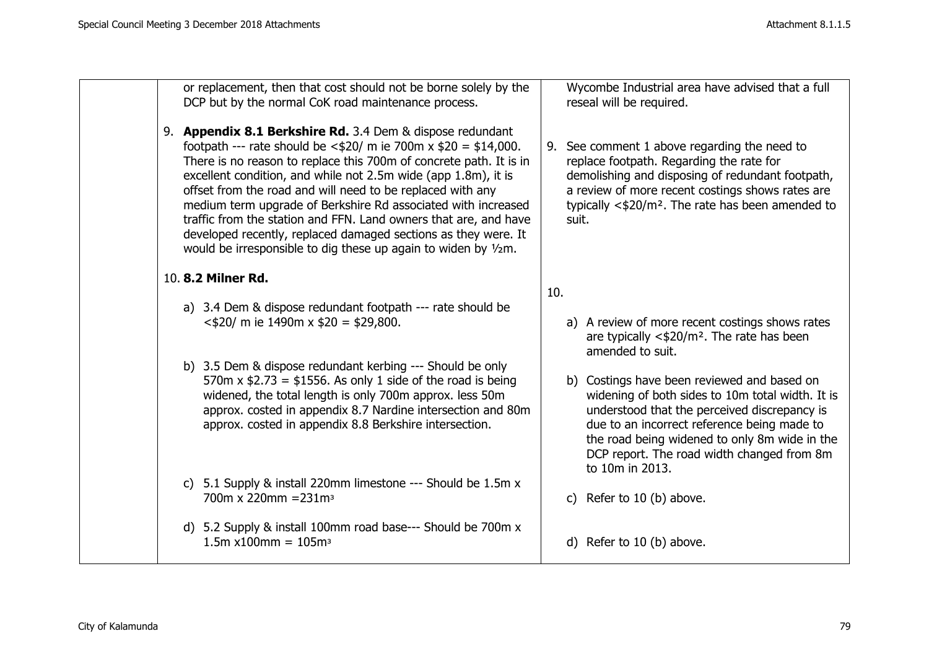| or replacement, then that cost should not be borne solely by the<br>DCP but by the normal CoK road maintenance process.                                                                                                                                                                                                                                                                                                                                                                                                                                                                                            | Wycombe Industrial area have advised that a full<br>reseal will be required.                                                                                                                                                                                                                                     |
|--------------------------------------------------------------------------------------------------------------------------------------------------------------------------------------------------------------------------------------------------------------------------------------------------------------------------------------------------------------------------------------------------------------------------------------------------------------------------------------------------------------------------------------------------------------------------------------------------------------------|------------------------------------------------------------------------------------------------------------------------------------------------------------------------------------------------------------------------------------------------------------------------------------------------------------------|
| 9. Appendix 8.1 Berkshire Rd. 3.4 Dem & dispose redundant<br>footpath --- rate should be $\langle 420/$ m ie 700m x $20 = 14,000$ .<br>There is no reason to replace this 700m of concrete path. It is in<br>excellent condition, and while not 2.5m wide (app 1.8m), it is<br>offset from the road and will need to be replaced with any<br>medium term upgrade of Berkshire Rd associated with increased<br>traffic from the station and FFN. Land owners that are, and have<br>developed recently, replaced damaged sections as they were. It<br>would be irresponsible to dig these up again to widen by 1/2m. | 9. See comment 1 above regarding the need to<br>replace footpath. Regarding the rate for<br>demolishing and disposing of redundant footpath,<br>a review of more recent costings shows rates are<br>typically $\langle 420/m^2$ . The rate has been amended to<br>suit.                                          |
| 10. 8.2 Milner Rd.                                                                                                                                                                                                                                                                                                                                                                                                                                                                                                                                                                                                 | 10.                                                                                                                                                                                                                                                                                                              |
| a) 3.4 Dem & dispose redundant footpath --- rate should be<br>$\langle 420/$ m ie 1490 mx $20 = 29,800$ .                                                                                                                                                                                                                                                                                                                                                                                                                                                                                                          | a) A review of more recent costings shows rates<br>are typically $\langle 420/m^2 \rangle$ . The rate has been<br>amended to suit.                                                                                                                                                                               |
| b) 3.5 Dem & dispose redundant kerbing --- Should be only<br>570m x $$2.73 = $1556$ . As only 1 side of the road is being<br>widened, the total length is only 700m approx. less 50m<br>approx. costed in appendix 8.7 Nardine intersection and 80m<br>approx. costed in appendix 8.8 Berkshire intersection.                                                                                                                                                                                                                                                                                                      | b) Costings have been reviewed and based on<br>widening of both sides to 10m total width. It is<br>understood that the perceived discrepancy is<br>due to an incorrect reference being made to<br>the road being widened to only 8m wide in the<br>DCP report. The road width changed from 8m<br>to 10m in 2013. |
| c) 5.1 Supply & install 220mm limestone --- Should be 1.5m x<br>700m x 220mm = $231m3$                                                                                                                                                                                                                                                                                                                                                                                                                                                                                                                             | Refer to 10 (b) above.<br>C)                                                                                                                                                                                                                                                                                     |
| d) 5.2 Supply & install 100mm road base--- Should be 700m x<br>$1.5m \times 100mm = 105m3$                                                                                                                                                                                                                                                                                                                                                                                                                                                                                                                         | d) Refer to 10 (b) above.                                                                                                                                                                                                                                                                                        |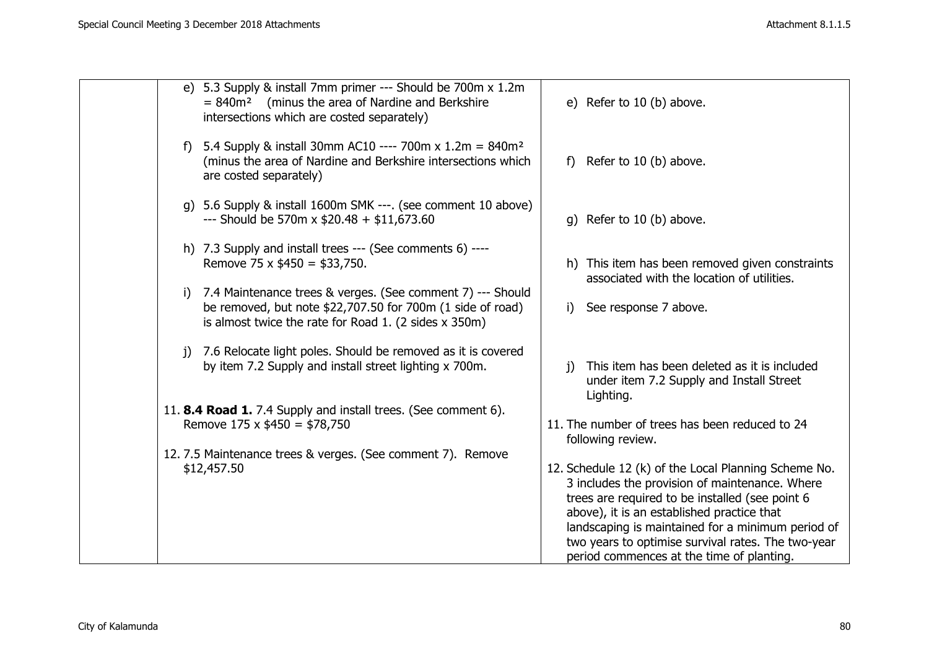|    | e) 5.3 Supply & install 7mm primer --- Should be 700m x 1.2m<br>(minus the area of Nardine and Berkshire<br>$= 840m^2$<br>intersections which are costed separately)                                    | e) Refer to 10 (b) above.                                                                                                                                                                                                                                                                                                                                       |
|----|---------------------------------------------------------------------------------------------------------------------------------------------------------------------------------------------------------|-----------------------------------------------------------------------------------------------------------------------------------------------------------------------------------------------------------------------------------------------------------------------------------------------------------------------------------------------------------------|
|    | f) 5.4 Supply & install 30mm AC10 ---- 700m x 1.2m = $840m^2$<br>(minus the area of Nardine and Berkshire intersections which<br>are costed separately)                                                 | Refer to 10 (b) above.<br>f)                                                                                                                                                                                                                                                                                                                                    |
|    | g) 5.6 Supply & install 1600m SMK ---. (see comment 10 above)<br>--- Should be 570m x $$20.48 + $11,673.60$                                                                                             | g) Refer to 10 (b) above.                                                                                                                                                                                                                                                                                                                                       |
|    | h) 7.3 Supply and install trees --- (See comments 6) ----<br>Remove 75 x $$450 = $33,750$ .                                                                                                             | h) This item has been removed given constraints<br>associated with the location of utilities.                                                                                                                                                                                                                                                                   |
| i) | 7.4 Maintenance trees & verges. (See comment 7) --- Should<br>be removed, but note \$22,707.50 for 700m (1 side of road)<br>is almost twice the rate for Road 1. $(2 \text{ sides} \times 350\text{m})$ | See response 7 above.<br>i)                                                                                                                                                                                                                                                                                                                                     |
|    | j) 7.6 Relocate light poles. Should be removed as it is covered<br>by item 7.2 Supply and install street lighting x 700m.                                                                               | This item has been deleted as it is included<br>$\mathbf{i}$<br>under item 7.2 Supply and Install Street<br>Lighting.                                                                                                                                                                                                                                           |
|    | 11. 8.4 Road 1. 7.4 Supply and install trees. (See comment 6).<br>Remove $175 \times $450 = $78,750$                                                                                                    | 11. The number of trees has been reduced to 24<br>following review.                                                                                                                                                                                                                                                                                             |
|    | 12.7.5 Maintenance trees & verges. (See comment 7). Remove<br>\$12,457.50                                                                                                                               | 12. Schedule 12 (k) of the Local Planning Scheme No.<br>3 includes the provision of maintenance. Where<br>trees are required to be installed (see point 6<br>above), it is an established practice that<br>landscaping is maintained for a minimum period of<br>two years to optimise survival rates. The two-year<br>period commences at the time of planting. |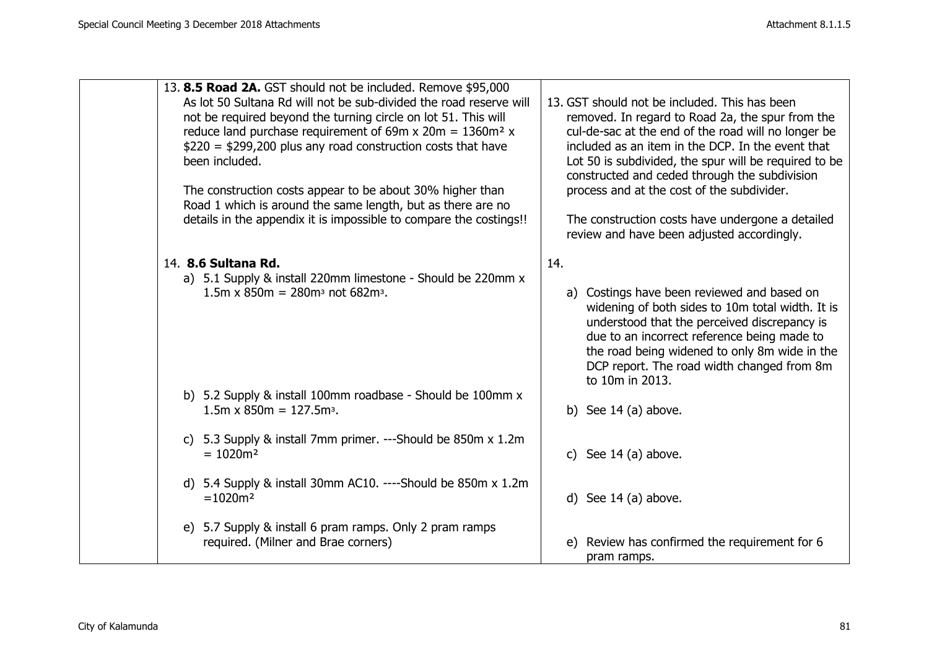| 13. 8.5 Road 2A. GST should not be included. Remove \$95,000<br>As lot 50 Sultana Rd will not be sub-divided the road reserve will<br>not be required beyond the turning circle on lot 51. This will<br>reduce land purchase requirement of 69m x 20m = $1360m^2$ x<br>$$220 = $299,200$ plus any road construction costs that have<br>been included.<br>The construction costs appear to be about 30% higher than<br>Road 1 which is around the same length, but as there are no<br>details in the appendix it is impossible to compare the costings!! | 13. GST should not be included. This has been<br>removed. In regard to Road 2a, the spur from the<br>cul-de-sac at the end of the road will no longer be<br>included as an item in the DCP. In the event that<br>Lot 50 is subdivided, the spur will be required to be<br>constructed and ceded through the subdivision<br>process and at the cost of the subdivider.<br>The construction costs have undergone a detailed<br>review and have been adjusted accordingly. |
|---------------------------------------------------------------------------------------------------------------------------------------------------------------------------------------------------------------------------------------------------------------------------------------------------------------------------------------------------------------------------------------------------------------------------------------------------------------------------------------------------------------------------------------------------------|-------------------------------------------------------------------------------------------------------------------------------------------------------------------------------------------------------------------------------------------------------------------------------------------------------------------------------------------------------------------------------------------------------------------------------------------------------------------------|
| 14. 8.6 Sultana Rd.<br>a) 5.1 Supply & install 220mm limestone - Should be 220mm x<br>$1.5m \times 850m = 280m^3$ not 682m <sup>3</sup> .                                                                                                                                                                                                                                                                                                                                                                                                               | 14.<br>a) Costings have been reviewed and based on<br>widening of both sides to 10m total width. It is<br>understood that the perceived discrepancy is<br>due to an incorrect reference being made to<br>the road being widened to only 8m wide in the<br>DCP report. The road width changed from 8m<br>to 10m in 2013.                                                                                                                                                 |
| b) 5.2 Supply & install 100mm roadbase - Should be 100mm x<br>$1.5m \times 850m = 127.5m3$ .                                                                                                                                                                                                                                                                                                                                                                                                                                                            | b) See $14$ (a) above.                                                                                                                                                                                                                                                                                                                                                                                                                                                  |
| 5.3 Supply & install 7mm primer. ---Should be 850m x 1.2m<br>C)<br>$= 1020 m2$                                                                                                                                                                                                                                                                                                                                                                                                                                                                          | c) See $14$ (a) above.                                                                                                                                                                                                                                                                                                                                                                                                                                                  |
| d) 5.4 Supply & install 30mm AC10. ----Should be 850m x 1.2m<br>$=1020m2$                                                                                                                                                                                                                                                                                                                                                                                                                                                                               | d) See $14$ (a) above.                                                                                                                                                                                                                                                                                                                                                                                                                                                  |
| e) 5.7 Supply & install 6 pram ramps. Only 2 pram ramps<br>required. (Milner and Brae corners)                                                                                                                                                                                                                                                                                                                                                                                                                                                          | e) Review has confirmed the requirement for 6<br>pram ramps.                                                                                                                                                                                                                                                                                                                                                                                                            |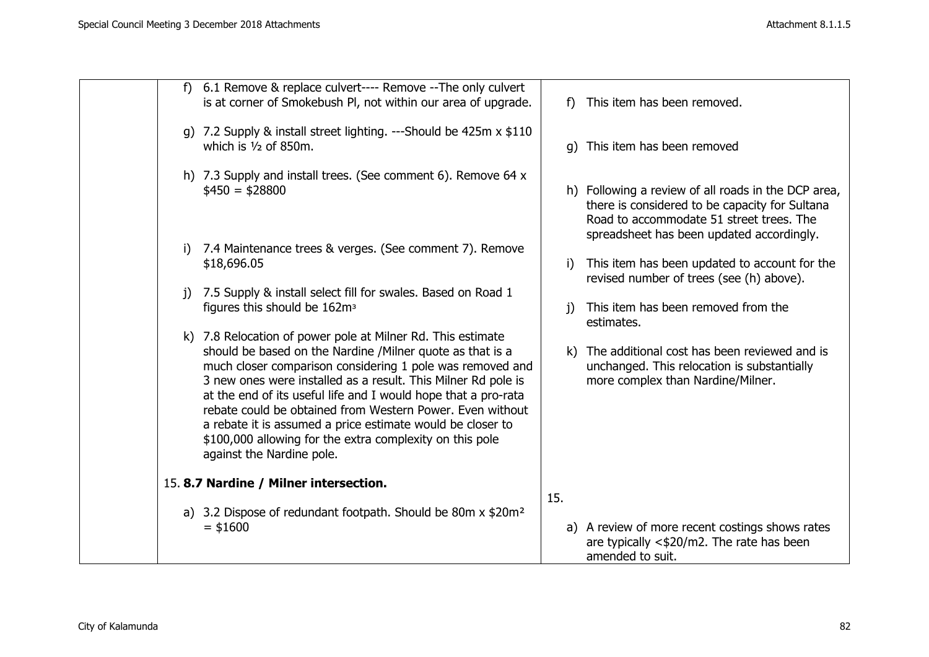| f)           | 6.1 Remove & replace culvert---- Remove -- The only culvert<br>is at corner of Smokebush PI, not within our area of upgrade.                                                                                                                                                                                                                                                                                                                                                                                                                 | f            | This item has been removed.                                                                                                                                                                    |
|--------------|----------------------------------------------------------------------------------------------------------------------------------------------------------------------------------------------------------------------------------------------------------------------------------------------------------------------------------------------------------------------------------------------------------------------------------------------------------------------------------------------------------------------------------------------|--------------|------------------------------------------------------------------------------------------------------------------------------------------------------------------------------------------------|
|              | g) 7.2 Supply & install street lighting. ---Should be 425m x \$110<br>which is $1/2$ of 850m.                                                                                                                                                                                                                                                                                                                                                                                                                                                |              | g) This item has been removed                                                                                                                                                                  |
|              | h) 7.3 Supply and install trees. (See comment 6). Remove 64 x<br>$$450 = $28800$                                                                                                                                                                                                                                                                                                                                                                                                                                                             |              | h) Following a review of all roads in the DCP area,<br>there is considered to be capacity for Sultana<br>Road to accommodate 51 street trees. The<br>spreadsheet has been updated accordingly. |
| i)           | 7.4 Maintenance trees & verges. (See comment 7). Remove                                                                                                                                                                                                                                                                                                                                                                                                                                                                                      |              |                                                                                                                                                                                                |
|              | \$18,696.05                                                                                                                                                                                                                                                                                                                                                                                                                                                                                                                                  | i)           | This item has been updated to account for the<br>revised number of trees (see (h) above).                                                                                                      |
| $\mathbf{i}$ | 7.5 Supply & install select fill for swales. Based on Road 1                                                                                                                                                                                                                                                                                                                                                                                                                                                                                 |              |                                                                                                                                                                                                |
|              | figures this should be 162m <sup>3</sup>                                                                                                                                                                                                                                                                                                                                                                                                                                                                                                     | <sup>i</sup> | This item has been removed from the<br>estimates.                                                                                                                                              |
|              | k) 7.8 Relocation of power pole at Milner Rd. This estimate<br>should be based on the Nardine /Milner quote as that is a<br>much closer comparison considering 1 pole was removed and<br>3 new ones were installed as a result. This Milner Rd pole is<br>at the end of its useful life and I would hope that a pro-rata<br>rebate could be obtained from Western Power. Even without<br>a rebate it is assumed a price estimate would be closer to<br>\$100,000 allowing for the extra complexity on this pole<br>against the Nardine pole. | k)           | The additional cost has been reviewed and is<br>unchanged. This relocation is substantially<br>more complex than Nardine/Milner.                                                               |
|              | 15.8.7 Nardine / Milner intersection.                                                                                                                                                                                                                                                                                                                                                                                                                                                                                                        |              |                                                                                                                                                                                                |
|              |                                                                                                                                                                                                                                                                                                                                                                                                                                                                                                                                              | 15.          |                                                                                                                                                                                                |
|              | a) 3.2 Dispose of redundant footpath. Should be 80m x \$20m <sup>2</sup><br>$=$ \$1600                                                                                                                                                                                                                                                                                                                                                                                                                                                       |              | a) A review of more recent costings shows rates<br>are typically $<\frac{1}{20}$ /m2. The rate has been<br>amended to suit.                                                                    |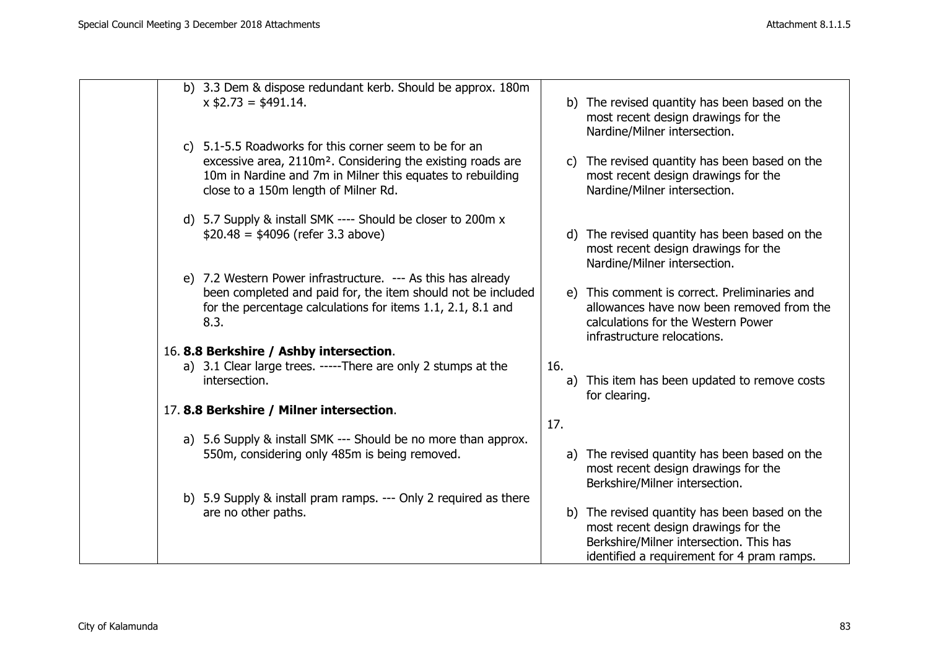|  | b) 3.3 Dem & dispose redundant kerb. Should be approx. 180m<br>$x$ \$2.73 = \$491.14.                                                                                                                                                   |     | b) The revised quantity has been based on the<br>most recent design drawings for the<br>Nardine/Milner intersection.                                            |
|--|-----------------------------------------------------------------------------------------------------------------------------------------------------------------------------------------------------------------------------------------|-----|-----------------------------------------------------------------------------------------------------------------------------------------------------------------|
|  | c) 5.1-5.5 Roadworks for this corner seem to be for an<br>excessive area, 2110m <sup>2</sup> . Considering the existing roads are<br>10m in Nardine and 7m in Milner this equates to rebuilding<br>close to a 150m length of Milner Rd. |     | c) The revised quantity has been based on the<br>most recent design drawings for the<br>Nardine/Milner intersection.                                            |
|  | d) 5.7 Supply & install SMK ---- Should be closer to 200m x<br>$$20.48 = $4096$ (refer 3.3 above)                                                                                                                                       |     | d) The revised quantity has been based on the<br>most recent design drawings for the<br>Nardine/Milner intersection.                                            |
|  | e) 7.2 Western Power infrastructure. --- As this has already<br>been completed and paid for, the item should not be included<br>for the percentage calculations for items 1.1, 2.1, 8.1 and<br>8.3.                                     |     | e) This comment is correct. Preliminaries and<br>allowances have now been removed from the<br>calculations for the Western Power<br>infrastructure relocations. |
|  | 16.8.8 Berkshire / Ashby intersection.                                                                                                                                                                                                  |     |                                                                                                                                                                 |
|  | a) 3.1 Clear large trees. -----There are only 2 stumps at the                                                                                                                                                                           | 16. |                                                                                                                                                                 |
|  | intersection.                                                                                                                                                                                                                           |     | a) This item has been updated to remove costs<br>for clearing.                                                                                                  |
|  | 17.8.8 Berkshire / Milner intersection.                                                                                                                                                                                                 |     |                                                                                                                                                                 |
|  |                                                                                                                                                                                                                                         | 17. |                                                                                                                                                                 |
|  | a) 5.6 Supply & install SMK --- Should be no more than approx.                                                                                                                                                                          |     |                                                                                                                                                                 |
|  | 550m, considering only 485m is being removed.                                                                                                                                                                                           |     | a) The revised quantity has been based on the<br>most recent design drawings for the<br>Berkshire/Milner intersection.                                          |
|  | b) 5.9 Supply & install pram ramps. --- Only 2 required as there                                                                                                                                                                        |     |                                                                                                                                                                 |
|  | are no other paths.                                                                                                                                                                                                                     |     | b) The revised quantity has been based on the                                                                                                                   |
|  |                                                                                                                                                                                                                                         |     | most recent design drawings for the                                                                                                                             |
|  |                                                                                                                                                                                                                                         |     | Berkshire/Milner intersection. This has                                                                                                                         |
|  |                                                                                                                                                                                                                                         |     | identified a requirement for 4 pram ramps.                                                                                                                      |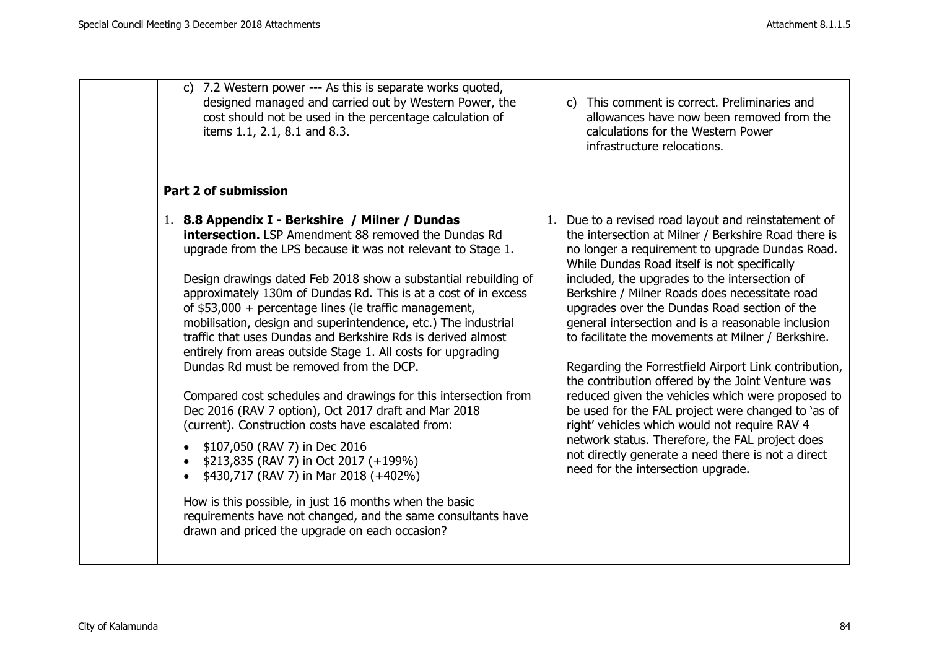| c) 7.2 Western power --- As this is separate works quoted,                                                                                                                                                                                                                                                                                                                                                                                                                                                                                                                                                                                                                                                                                                                                                                                                                                                                                                                                                                                                                                                                                  | c) This comment is correct. Preliminaries and                                                                                                                                                                                                                                                                                                                                                                                                                                                                                                                                                                                                                                                                                                                                                                                                                                                           |
|---------------------------------------------------------------------------------------------------------------------------------------------------------------------------------------------------------------------------------------------------------------------------------------------------------------------------------------------------------------------------------------------------------------------------------------------------------------------------------------------------------------------------------------------------------------------------------------------------------------------------------------------------------------------------------------------------------------------------------------------------------------------------------------------------------------------------------------------------------------------------------------------------------------------------------------------------------------------------------------------------------------------------------------------------------------------------------------------------------------------------------------------|---------------------------------------------------------------------------------------------------------------------------------------------------------------------------------------------------------------------------------------------------------------------------------------------------------------------------------------------------------------------------------------------------------------------------------------------------------------------------------------------------------------------------------------------------------------------------------------------------------------------------------------------------------------------------------------------------------------------------------------------------------------------------------------------------------------------------------------------------------------------------------------------------------|
| designed managed and carried out by Western Power, the                                                                                                                                                                                                                                                                                                                                                                                                                                                                                                                                                                                                                                                                                                                                                                                                                                                                                                                                                                                                                                                                                      | allowances have now been removed from the                                                                                                                                                                                                                                                                                                                                                                                                                                                                                                                                                                                                                                                                                                                                                                                                                                                               |
| cost should not be used in the percentage calculation of                                                                                                                                                                                                                                                                                                                                                                                                                                                                                                                                                                                                                                                                                                                                                                                                                                                                                                                                                                                                                                                                                    | calculations for the Western Power                                                                                                                                                                                                                                                                                                                                                                                                                                                                                                                                                                                                                                                                                                                                                                                                                                                                      |
| items 1.1, 2.1, 8.1 and 8.3.                                                                                                                                                                                                                                                                                                                                                                                                                                                                                                                                                                                                                                                                                                                                                                                                                                                                                                                                                                                                                                                                                                                | infrastructure relocations.                                                                                                                                                                                                                                                                                                                                                                                                                                                                                                                                                                                                                                                                                                                                                                                                                                                                             |
| <b>Part 2 of submission</b><br>1. 8.8 Appendix I - Berkshire / Milner / Dundas<br><b>intersection.</b> LSP Amendment 88 removed the Dundas Rd<br>upgrade from the LPS because it was not relevant to Stage 1.<br>Design drawings dated Feb 2018 show a substantial rebuilding of<br>approximately 130m of Dundas Rd. This is at a cost of in excess<br>of $$53,000 +$ percentage lines (ie traffic management,<br>mobilisation, design and superintendence, etc.) The industrial<br>traffic that uses Dundas and Berkshire Rds is derived almost<br>entirely from areas outside Stage 1. All costs for upgrading<br>Dundas Rd must be removed from the DCP.<br>Compared cost schedules and drawings for this intersection from<br>Dec 2016 (RAV 7 option), Oct 2017 draft and Mar 2018<br>(current). Construction costs have escalated from:<br>\$107,050 (RAV 7) in Dec 2016<br>\$213,835 (RAV 7) in Oct 2017 (+199%)<br>\$430,717 (RAV 7) in Mar 2018 (+402%)<br>How is this possible, in just 16 months when the basic<br>requirements have not changed, and the same consultants have<br>drawn and priced the upgrade on each occasion? | 1. Due to a revised road layout and reinstatement of<br>the intersection at Milner / Berkshire Road there is<br>no longer a requirement to upgrade Dundas Road.<br>While Dundas Road itself is not specifically<br>included, the upgrades to the intersection of<br>Berkshire / Milner Roads does necessitate road<br>upgrades over the Dundas Road section of the<br>general intersection and is a reasonable inclusion<br>to facilitate the movements at Milner / Berkshire.<br>Regarding the Forrestfield Airport Link contribution,<br>the contribution offered by the Joint Venture was<br>reduced given the vehicles which were proposed to<br>be used for the FAL project were changed to 'as of<br>right' vehicles which would not require RAV 4<br>network status. Therefore, the FAL project does<br>not directly generate a need there is not a direct<br>need for the intersection upgrade. |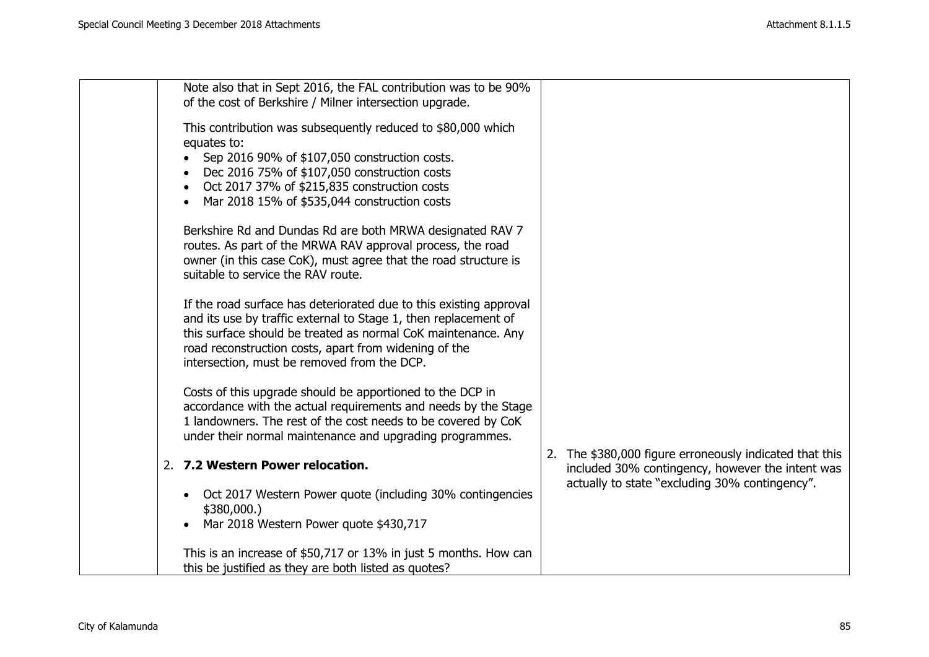| Note also that in Sept 2016, the FAL contribution was to be 90%<br>of the cost of Berkshire / Milner intersection upgrade. |                                                         |
|----------------------------------------------------------------------------------------------------------------------------|---------------------------------------------------------|
|                                                                                                                            |                                                         |
| This contribution was subsequently reduced to \$80,000 which                                                               |                                                         |
| equates to:                                                                                                                |                                                         |
| Sep 2016 90% of \$107,050 construction costs.                                                                              |                                                         |
| Dec 2016 75% of \$107,050 construction costs                                                                               |                                                         |
| Oct 2017 37% of \$215,835 construction costs<br>$\bullet$                                                                  |                                                         |
| Mar 2018 15% of \$535,044 construction costs                                                                               |                                                         |
| Berkshire Rd and Dundas Rd are both MRWA designated RAV 7                                                                  |                                                         |
| routes. As part of the MRWA RAV approval process, the road                                                                 |                                                         |
| owner (in this case CoK), must agree that the road structure is                                                            |                                                         |
| suitable to service the RAV route.                                                                                         |                                                         |
|                                                                                                                            |                                                         |
| If the road surface has deteriorated due to this existing approval                                                         |                                                         |
| and its use by traffic external to Stage 1, then replacement of                                                            |                                                         |
| this surface should be treated as normal CoK maintenance. Any                                                              |                                                         |
| road reconstruction costs, apart from widening of the                                                                      |                                                         |
| intersection, must be removed from the DCP.                                                                                |                                                         |
| Costs of this upgrade should be apportioned to the DCP in                                                                  |                                                         |
| accordance with the actual requirements and needs by the Stage                                                             |                                                         |
| 1 landowners. The rest of the cost needs to be covered by CoK                                                              |                                                         |
| under their normal maintenance and upgrading programmes.                                                                   |                                                         |
|                                                                                                                            | 2. The \$380,000 figure erroneously indicated that this |
| 2. 7.2 Western Power relocation.                                                                                           | included 30% contingency, however the intent was        |
|                                                                                                                            | actually to state "excluding 30% contingency".          |
| Oct 2017 Western Power quote (including 30% contingencies<br>$\bullet$                                                     |                                                         |
| \$380,000.                                                                                                                 |                                                         |
| Mar 2018 Western Power quote \$430,717                                                                                     |                                                         |
| This is an increase of \$50,717 or 13% in just 5 months. How can                                                           |                                                         |
| this be justified as they are both listed as quotes?                                                                       |                                                         |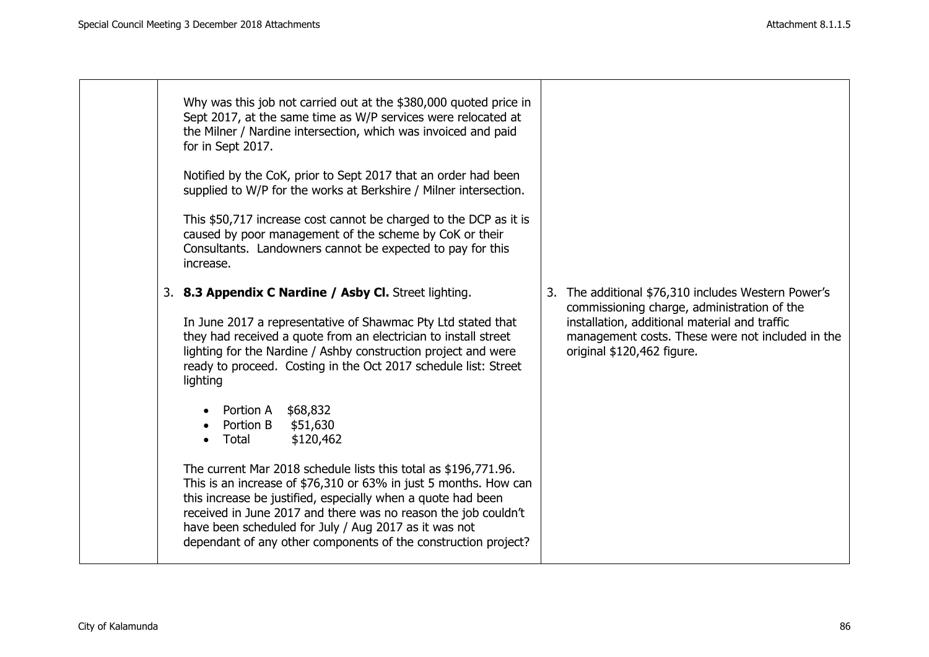| Why was this job not carried out at the \$380,000 quoted price in<br>Sept 2017, at the same time as W/P services were relocated at<br>the Milner / Nardine intersection, which was invoiced and paid<br>for in Sept 2017.                                                                                                                                                                        |                                                                                                                                                                                                                                       |
|--------------------------------------------------------------------------------------------------------------------------------------------------------------------------------------------------------------------------------------------------------------------------------------------------------------------------------------------------------------------------------------------------|---------------------------------------------------------------------------------------------------------------------------------------------------------------------------------------------------------------------------------------|
| Notified by the CoK, prior to Sept 2017 that an order had been<br>supplied to W/P for the works at Berkshire / Milner intersection.                                                                                                                                                                                                                                                              |                                                                                                                                                                                                                                       |
| This \$50,717 increase cost cannot be charged to the DCP as it is<br>caused by poor management of the scheme by CoK or their<br>Consultants. Landowners cannot be expected to pay for this<br>increase.                                                                                                                                                                                          |                                                                                                                                                                                                                                       |
| 3. 8.3 Appendix C Nardine / Asby Cl. Street lighting.<br>In June 2017 a representative of Shawmac Pty Ltd stated that<br>they had received a quote from an electrician to install street<br>lighting for the Nardine / Ashby construction project and were<br>ready to proceed. Costing in the Oct 2017 schedule list: Street<br>lighting                                                        | 3. The additional \$76,310 includes Western Power's<br>commissioning charge, administration of the<br>installation, additional material and traffic<br>management costs. These were not included in the<br>original \$120,462 figure. |
| Portion A \$68,832<br>Portion B<br>\$51,630<br>\$120,462<br>Total                                                                                                                                                                                                                                                                                                                                |                                                                                                                                                                                                                                       |
| The current Mar 2018 schedule lists this total as \$196,771.96.<br>This is an increase of \$76,310 or 63% in just 5 months. How can<br>this increase be justified, especially when a quote had been<br>received in June 2017 and there was no reason the job couldn't<br>have been scheduled for July / Aug 2017 as it was not<br>dependant of any other components of the construction project? |                                                                                                                                                                                                                                       |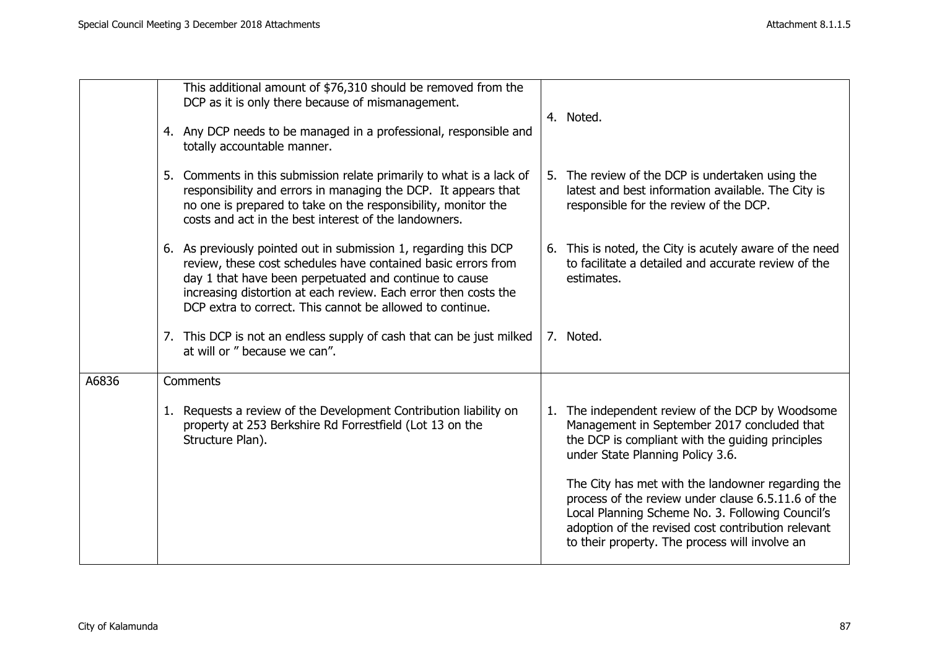|       | This additional amount of \$76,310 should be removed from the<br>DCP as it is only there because of mismanagement.<br>4. Any DCP needs to be managed in a professional, responsible and                                                                                                                                     | 4. Noted.                                                                                                                                                                                                                                                           |
|-------|-----------------------------------------------------------------------------------------------------------------------------------------------------------------------------------------------------------------------------------------------------------------------------------------------------------------------------|---------------------------------------------------------------------------------------------------------------------------------------------------------------------------------------------------------------------------------------------------------------------|
|       | totally accountable manner.<br>5. Comments in this submission relate primarily to what is a lack of<br>responsibility and errors in managing the DCP. It appears that<br>no one is prepared to take on the responsibility, monitor the<br>costs and act in the best interest of the landowners.                             | 5. The review of the DCP is undertaken using the<br>latest and best information available. The City is<br>responsible for the review of the DCP.                                                                                                                    |
|       | 6. As previously pointed out in submission 1, regarding this DCP<br>review, these cost schedules have contained basic errors from<br>day 1 that have been perpetuated and continue to cause<br>increasing distortion at each review. Each error then costs the<br>DCP extra to correct. This cannot be allowed to continue. | 6. This is noted, the City is acutely aware of the need<br>to facilitate a detailed and accurate review of the<br>estimates.                                                                                                                                        |
|       | 7. This DCP is not an endless supply of cash that can be just milked<br>at will or " because we can".                                                                                                                                                                                                                       | 7. Noted.                                                                                                                                                                                                                                                           |
| A6836 | Comments                                                                                                                                                                                                                                                                                                                    |                                                                                                                                                                                                                                                                     |
|       | 1. Requests a review of the Development Contribution liability on<br>property at 253 Berkshire Rd Forrestfield (Lot 13 on the<br>Structure Plan).                                                                                                                                                                           | 1. The independent review of the DCP by Woodsome<br>Management in September 2017 concluded that<br>the DCP is compliant with the guiding principles<br>under State Planning Policy 3.6.                                                                             |
|       |                                                                                                                                                                                                                                                                                                                             | The City has met with the landowner regarding the<br>process of the review under clause 6.5.11.6 of the<br>Local Planning Scheme No. 3. Following Council's<br>adoption of the revised cost contribution relevant<br>to their property. The process will involve an |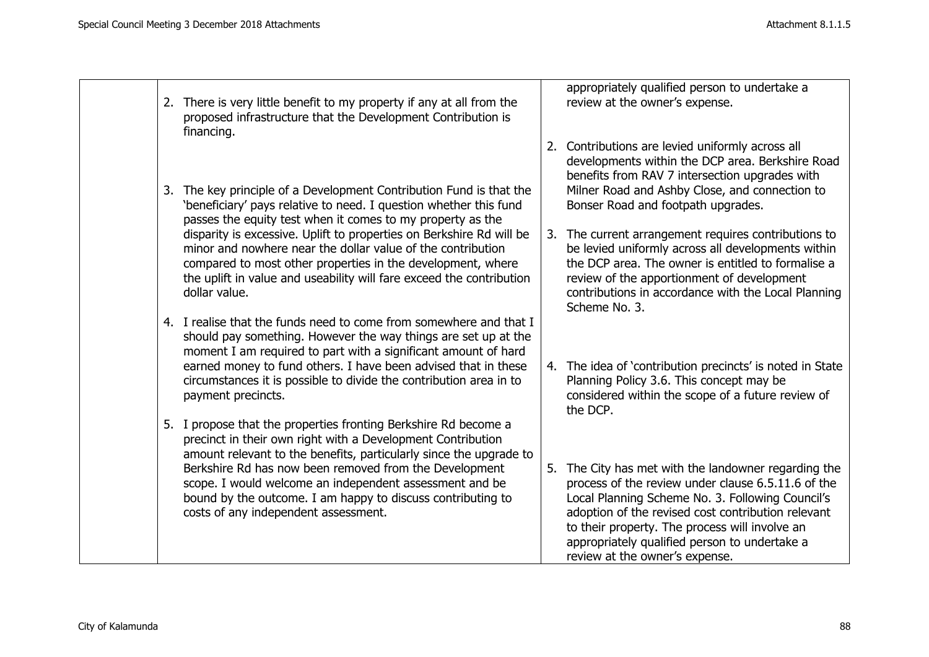|    | 2. There is very little benefit to my property if any at all from the<br>proposed infrastructure that the Development Contribution is<br>financing.                                                                                                                                                                                                                  |    | appropriately qualified person to undertake a<br>review at the owner's expense.                                                                                                                                                                                                                                                                        |
|----|----------------------------------------------------------------------------------------------------------------------------------------------------------------------------------------------------------------------------------------------------------------------------------------------------------------------------------------------------------------------|----|--------------------------------------------------------------------------------------------------------------------------------------------------------------------------------------------------------------------------------------------------------------------------------------------------------------------------------------------------------|
|    |                                                                                                                                                                                                                                                                                                                                                                      |    | 2. Contributions are levied uniformly across all<br>developments within the DCP area. Berkshire Road<br>benefits from RAV 7 intersection upgrades with                                                                                                                                                                                                 |
| 3. | The key principle of a Development Contribution Fund is that the<br>'beneficiary' pays relative to need. I question whether this fund<br>passes the equity test when it comes to my property as the                                                                                                                                                                  |    | Milner Road and Ashby Close, and connection to<br>Bonser Road and footpath upgrades.                                                                                                                                                                                                                                                                   |
|    | disparity is excessive. Uplift to properties on Berkshire Rd will be<br>minor and nowhere near the dollar value of the contribution<br>compared to most other properties in the development, where<br>the uplift in value and useability will fare exceed the contribution<br>dollar value.                                                                          |    | 3. The current arrangement requires contributions to<br>be levied uniformly across all developments within<br>the DCP area. The owner is entitled to formalise a<br>review of the apportionment of development<br>contributions in accordance with the Local Planning<br>Scheme No. 3.                                                                 |
|    | 4. I realise that the funds need to come from somewhere and that I<br>should pay something. However the way things are set up at the<br>moment I am required to part with a significant amount of hard<br>earned money to fund others. I have been advised that in these<br>circumstances it is possible to divide the contribution area in to<br>payment precincts. |    | 4. The idea of 'contribution precincts' is noted in State<br>Planning Policy 3.6. This concept may be<br>considered within the scope of a future review of<br>the DCP.                                                                                                                                                                                 |
| 5. | I propose that the properties fronting Berkshire Rd become a<br>precinct in their own right with a Development Contribution<br>amount relevant to the benefits, particularly since the upgrade to                                                                                                                                                                    |    |                                                                                                                                                                                                                                                                                                                                                        |
|    | Berkshire Rd has now been removed from the Development<br>scope. I would welcome an independent assessment and be<br>bound by the outcome. I am happy to discuss contributing to<br>costs of any independent assessment.                                                                                                                                             | 5. | The City has met with the landowner regarding the<br>process of the review under clause 6.5.11.6 of the<br>Local Planning Scheme No. 3. Following Council's<br>adoption of the revised cost contribution relevant<br>to their property. The process will involve an<br>appropriately qualified person to undertake a<br>review at the owner's expense. |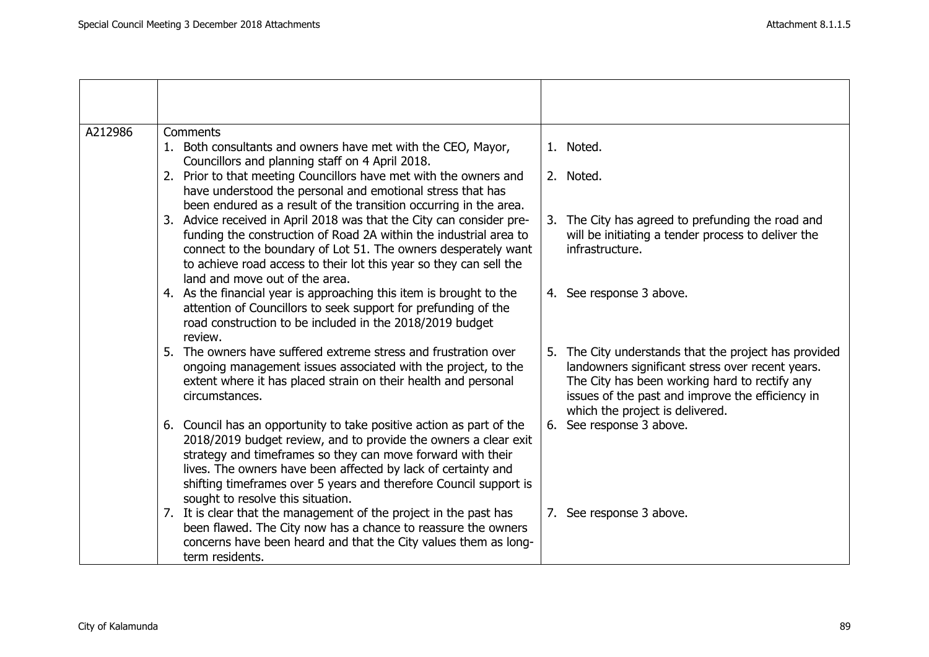| A212986 | Comments<br>1. Both consultants and owners have met with the CEO, Mayor,<br>Councillors and planning staff on 4 April 2018.                                                                                                                                                                                                                                                       | 1. Noted.                                                                                                                                                                                                                                         |
|---------|-----------------------------------------------------------------------------------------------------------------------------------------------------------------------------------------------------------------------------------------------------------------------------------------------------------------------------------------------------------------------------------|---------------------------------------------------------------------------------------------------------------------------------------------------------------------------------------------------------------------------------------------------|
|         | 2. Prior to that meeting Councillors have met with the owners and<br>have understood the personal and emotional stress that has<br>been endured as a result of the transition occurring in the area.                                                                                                                                                                              | 2. Noted.                                                                                                                                                                                                                                         |
|         | 3. Advice received in April 2018 was that the City can consider pre-<br>funding the construction of Road 2A within the industrial area to<br>connect to the boundary of Lot 51. The owners desperately want<br>to achieve road access to their lot this year so they can sell the<br>land and move out of the area.                                                               | 3. The City has agreed to prefunding the road and<br>will be initiating a tender process to deliver the<br>infrastructure.                                                                                                                        |
|         | 4. As the financial year is approaching this item is brought to the<br>attention of Councillors to seek support for prefunding of the<br>road construction to be included in the 2018/2019 budget<br>review.                                                                                                                                                                      | 4. See response 3 above.                                                                                                                                                                                                                          |
|         | 5. The owners have suffered extreme stress and frustration over<br>ongoing management issues associated with the project, to the<br>extent where it has placed strain on their health and personal<br>circumstances.                                                                                                                                                              | 5. The City understands that the project has provided<br>landowners significant stress over recent years.<br>The City has been working hard to rectify any<br>issues of the past and improve the efficiency in<br>which the project is delivered. |
|         | 6. Council has an opportunity to take positive action as part of the<br>2018/2019 budget review, and to provide the owners a clear exit<br>strategy and timeframes so they can move forward with their<br>lives. The owners have been affected by lack of certainty and<br>shifting timeframes over 5 years and therefore Council support is<br>sought to resolve this situation. | 6. See response 3 above.                                                                                                                                                                                                                          |
|         | 7. It is clear that the management of the project in the past has<br>been flawed. The City now has a chance to reassure the owners<br>concerns have been heard and that the City values them as long-<br>term residents.                                                                                                                                                          | 7. See response 3 above.                                                                                                                                                                                                                          |